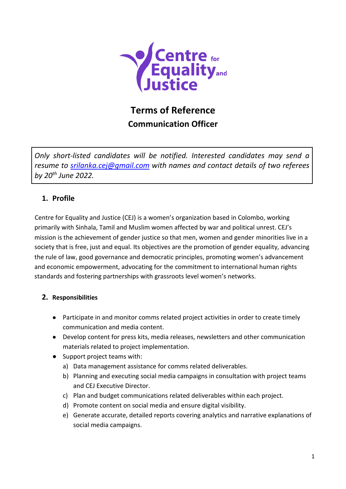

# **Terms of Reference Communication Officer**

*Only short-listed candidates will be notified. Interested candidates may send a resume to [srilanka.cej@gmail.com](mailto:srilanka.cej@gmail.com) with names and contact details of two referees by 20th June 2022.*

# **1. Profile**

Centre for Equality and Justice (CEJ) is a women's organization based in Colombo, working primarily with Sinhala, Tamil and Muslim women affected by war and political unrest. CEJ's mission is the achievement of gender justice so that men, women and gender minorities live in a society that is free, just and equal. Its objectives are the promotion of gender equality, advancing the rule of law, good governance and democratic principles, promoting women's advancement and economic empowerment, advocating for the commitment to international human rights standards and fostering partnerships with grassroots level women's networks.

## **2. Responsibilities**

- Participate in and monitor comms related project activities in order to create timely communication and media content.
- Develop content for press kits, media releases, newsletters and other communication materials related to project implementation.
- Support project teams with:
	- a) Data management assistance for comms related deliverables.
	- b) Planning and executing social media campaigns in consultation with project teams and CEJ Executive Director.
	- c) Plan and budget communications related deliverables within each project.
	- d) Promote content on social media and ensure digital visibility.
	- e) Generate accurate, detailed reports covering analytics and narrative explanations of social media campaigns.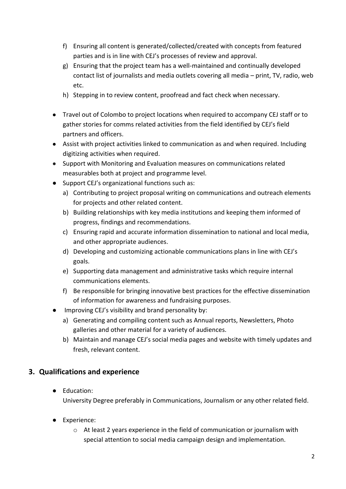- f) Ensuring all content is generated/collected/created with concepts from featured parties and is in line with CEJ's processes of review and approval.
- g) Ensuring that the project team has a well-maintained and continually developed contact list of journalists and media outlets covering all media – print, TV, radio, web etc.
- h) Stepping in to review content, proofread and fact check when necessary.
- Travel out of Colombo to project locations when required to accompany CEJ staff or to gather stories for comms related activities from the field identified by CEJ's field partners and officers.
- Assist with project activities linked to communication as and when required. Including digitizing activities when required.
- Support with Monitoring and Evaluation measures on communications related measurables both at project and programme level.
- Support CEJ's organizational functions such as:
	- a) Contributing to project proposal writing on communications and outreach elements for projects and other related content.
	- b) Building relationships with key media institutions and keeping them informed of progress, findings and recommendations.
	- c) Ensuring rapid and accurate information dissemination to national and local media, and other appropriate audiences.
	- d) Developing and customizing actionable communications plans in line with CEJ's goals.
	- e) Supporting data management and administrative tasks which require internal communications elements.
	- f) Be responsible for bringing innovative best practices for the effective dissemination of information for awareness and fundraising purposes.
- Improving CEJ's visibility and brand personality by:
	- a) Generating and compiling content such as Annual reports, Newsletters, Photo galleries and other material for a variety of audiences.
	- b) Maintain and manage CEJ's social media pages and website with timely updates and fresh, relevant content.

## **3. Qualifications and experience**

● Education:

University Degree preferably in Communications, Journalism or any other related field.

- Experience:
	- $\circ$  At least 2 years experience in the field of communication or journalism with special attention to social media campaign design and implementation.